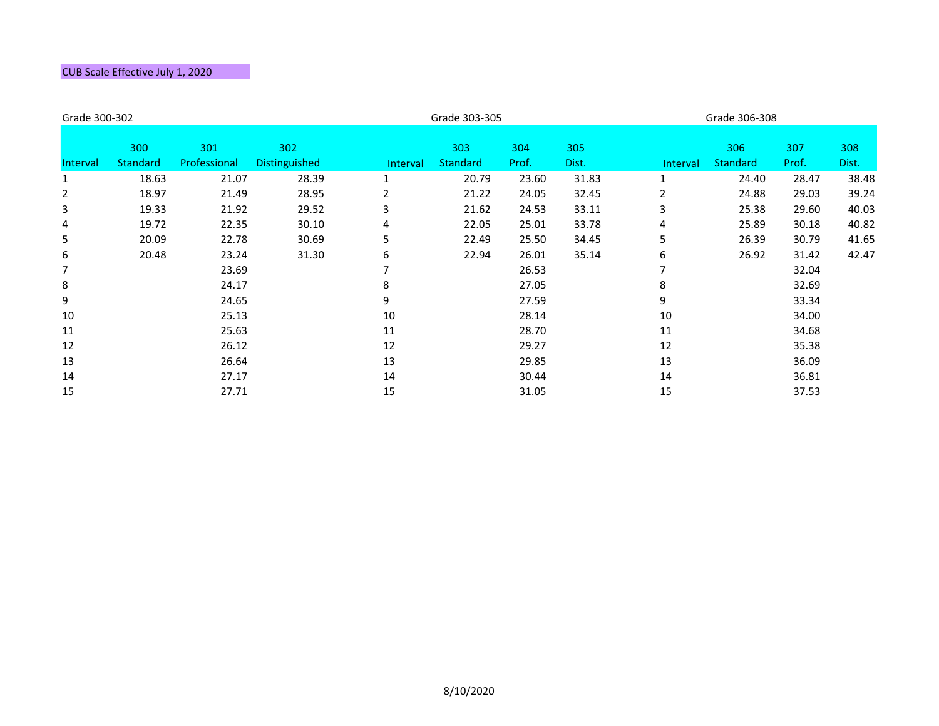| Grade 300-302   |                 |              |                      |                 | Grade 303-305   |       |       |          | Grade 306-308   |       |       |  |
|-----------------|-----------------|--------------|----------------------|-----------------|-----------------|-------|-------|----------|-----------------|-------|-------|--|
|                 |                 |              |                      |                 |                 |       |       |          |                 |       |       |  |
|                 | 300             | 301          | 302                  |                 | 303             | 304   | 305   |          | 306             | 307   | 308   |  |
| <b>Interval</b> | <b>Standard</b> | Professional | <b>Distinguished</b> | <b>Interval</b> | <b>Standard</b> | Prof. | Dist. | Interval | <b>Standard</b> | Prof. | Dist. |  |
| 1               | 18.63           | 21.07        | 28.39                | 1               | 20.79           | 23.60 | 31.83 |          | 24.40           | 28.47 | 38.48 |  |
| 2               | 18.97           | 21.49        | 28.95                | $\overline{2}$  | 21.22           | 24.05 | 32.45 | 2        | 24.88           | 29.03 | 39.24 |  |
| 3               | 19.33           | 21.92        | 29.52                | 3               | 21.62           | 24.53 | 33.11 | 3        | 25.38           | 29.60 | 40.03 |  |
| 4               | 19.72           | 22.35        | 30.10                | 4               | 22.05           | 25.01 | 33.78 | 4        | 25.89           | 30.18 | 40.82 |  |
| 5               | 20.09           | 22.78        | 30.69                | 5               | 22.49           | 25.50 | 34.45 | 5        | 26.39           | 30.79 | 41.65 |  |
| 6               | 20.48           | 23.24        | 31.30                | 6               | 22.94           | 26.01 | 35.14 | 6        | 26.92           | 31.42 | 42.47 |  |
| 7               |                 | 23.69        |                      |                 |                 | 26.53 |       |          |                 | 32.04 |       |  |
| 8               |                 | 24.17        |                      | 8               |                 | 27.05 |       | 8        |                 | 32.69 |       |  |
| 9               |                 | 24.65        |                      | 9               |                 | 27.59 |       | 9        |                 | 33.34 |       |  |
| 10              |                 | 25.13        |                      | 10              |                 | 28.14 |       | 10       |                 | 34.00 |       |  |
| 11              |                 | 25.63        |                      | 11              |                 | 28.70 |       | 11       |                 | 34.68 |       |  |
| 12              |                 | 26.12        |                      | 12              |                 | 29.27 |       | 12       |                 | 35.38 |       |  |
| 13              |                 | 26.64        |                      | 13              |                 | 29.85 |       | 13       |                 | 36.09 |       |  |
| 14              |                 | 27.17        |                      | 14              |                 | 30.44 |       | 14       |                 | 36.81 |       |  |
| 15              |                 | 27.71        |                      | 15              |                 | 31.05 |       | 15       |                 | 37.53 |       |  |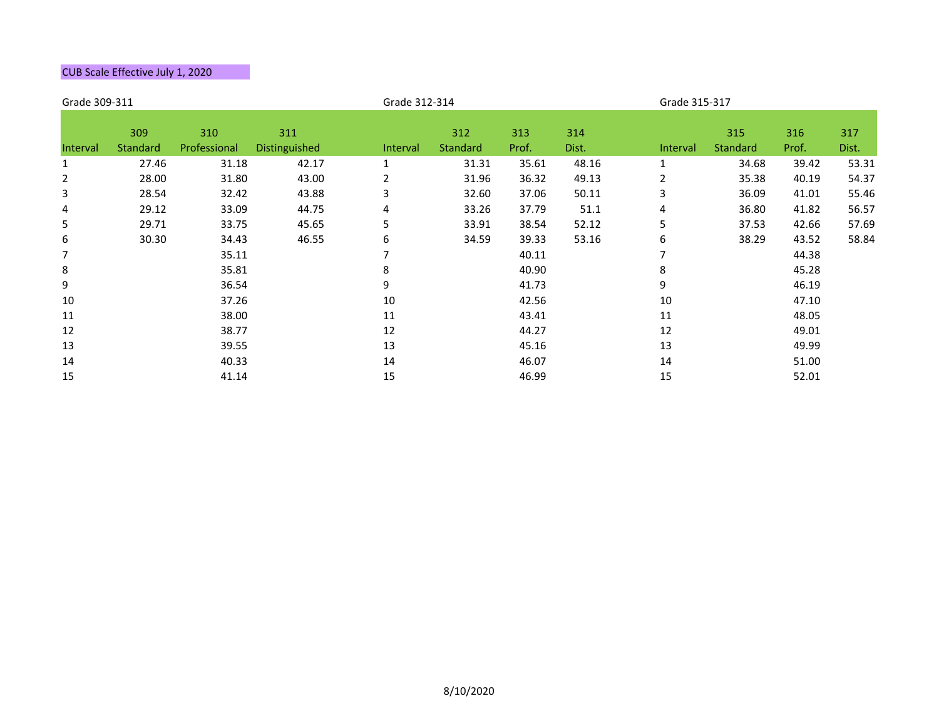| Grade 309-311  |                 |                     |               |                | Grade 312-314          |              |              |              | Grade 315-317   |              |       |  |
|----------------|-----------------|---------------------|---------------|----------------|------------------------|--------------|--------------|--------------|-----------------|--------------|-------|--|
|                | 309<br>Standard | 310<br>Professional | 311           |                | 312<br><b>Standard</b> | 313<br>Prof. | 314<br>Dist. |              | 315<br>Standard | 316<br>Prof. | 317   |  |
| Interval       |                 |                     | Distinguished | Interval       |                        |              |              | Interval     |                 |              | Dist. |  |
| $\mathbf{1}$   | 27.46           | 31.18               | 42.17         | $\mathbf{1}$   | 31.31                  | 35.61        | 48.16        | $\mathbf{1}$ | 34.68           | 39.42        | 53.31 |  |
| $\overline{2}$ | 28.00           | 31.80               | 43.00         | $\overline{2}$ | 31.96                  | 36.32        | 49.13        | 2            | 35.38           | 40.19        | 54.37 |  |
| 3              | 28.54           | 32.42               | 43.88         | 3              | 32.60                  | 37.06        | 50.11        | 3            | 36.09           | 41.01        | 55.46 |  |
| 4              | 29.12           | 33.09               | 44.75         | 4              | 33.26                  | 37.79        | 51.1         | 4            | 36.80           | 41.82        | 56.57 |  |
| 5              | 29.71           | 33.75               | 45.65         | 5              | 33.91                  | 38.54        | 52.12        | 5            | 37.53           | 42.66        | 57.69 |  |
| 6              | 30.30           | 34.43               | 46.55         | 6              | 34.59                  | 39.33        | 53.16        | 6            | 38.29           | 43.52        | 58.84 |  |
| $\overline{7}$ |                 | 35.11               |               |                |                        | 40.11        |              |              |                 | 44.38        |       |  |
| 8              |                 | 35.81               |               | 8              |                        | 40.90        |              | 8            |                 | 45.28        |       |  |
| 9              |                 | 36.54               |               | 9              |                        | 41.73        |              | 9            |                 | 46.19        |       |  |
| 10             |                 | 37.26               |               | 10             |                        | 42.56        |              | 10           |                 | 47.10        |       |  |
| 11             |                 | 38.00               |               | 11             |                        | 43.41        |              | 11           |                 | 48.05        |       |  |
| 12             |                 | 38.77               |               | 12             |                        | 44.27        |              | 12           |                 | 49.01        |       |  |
| 13             |                 | 39.55               |               | 13             |                        | 45.16        |              | 13           |                 | 49.99        |       |  |
| 14             |                 | 40.33               |               | 14             |                        | 46.07        |              | 14           |                 | 51.00        |       |  |
| 15             |                 | 41.14               |               | 15             |                        | 46.99        |              | 15           |                 | 52.01        |       |  |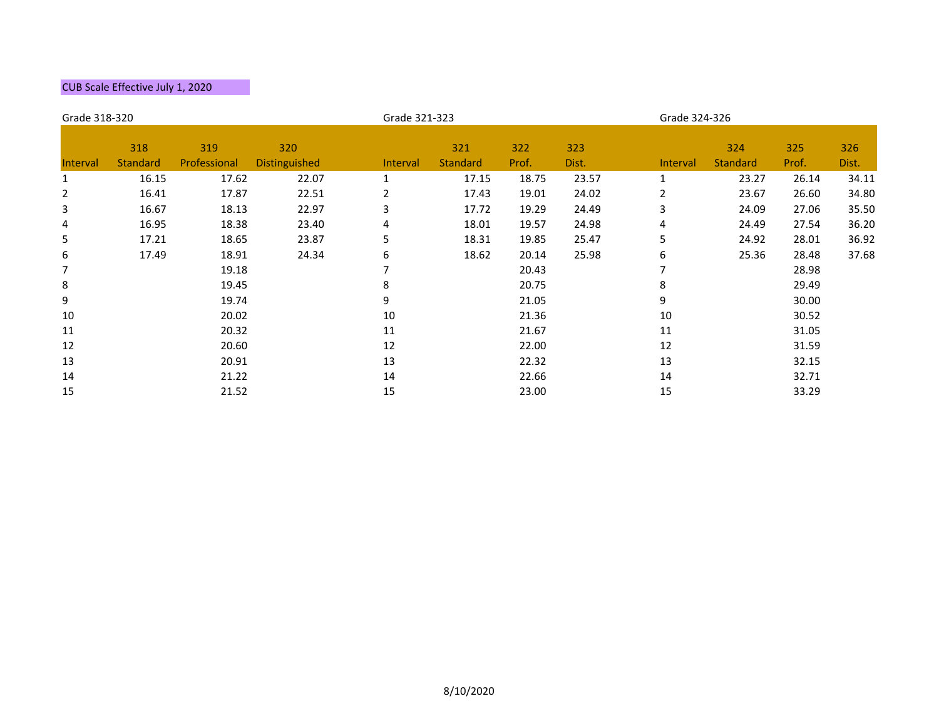| Grade 318-320  |                        |                     |                      | Grade 321-323  |                        |              |              |                 | Grade 324-326          |              |              |  |
|----------------|------------------------|---------------------|----------------------|----------------|------------------------|--------------|--------------|-----------------|------------------------|--------------|--------------|--|
| Interval       | 318<br><b>Standard</b> | 319<br>Professional | 320<br>Distinguished | Interval       | 321<br><b>Standard</b> | 322<br>Prof. | 323<br>Dist. | <b>Interval</b> | 324<br><b>Standard</b> | 325<br>Prof. | 326<br>Dist. |  |
| $\mathbf{1}$   | 16.15                  | 17.62               | 22.07                | $\mathbf{1}$   | 17.15                  | 18.75        | 23.57        | $\mathbf{1}$    | 23.27                  | 26.14        | 34.11        |  |
| $\overline{2}$ | 16.41                  | 17.87               | 22.51                | $\overline{2}$ | 17.43                  | 19.01        | 24.02        | $\overline{2}$  | 23.67                  | 26.60        | 34.80        |  |
| 3              | 16.67                  | 18.13               | 22.97                | 3              | 17.72                  | 19.29        | 24.49        | 3               | 24.09                  | 27.06        | 35.50        |  |
| $\overline{4}$ | 16.95                  | 18.38               | 23.40                | 4              | 18.01                  | 19.57        | 24.98        | 4               | 24.49                  | 27.54        | 36.20        |  |
| 5              | 17.21                  | 18.65               | 23.87                | 5              | 18.31                  | 19.85        | 25.47        | 5               | 24.92                  | 28.01        | 36.92        |  |
| 6              | 17.49                  | 18.91               | 24.34                | 6              | 18.62                  | 20.14        | 25.98        | 6               | 25.36                  | 28.48        | 37.68        |  |
| $\overline{7}$ |                        | 19.18               |                      | 7              |                        | 20.43        |              |                 |                        | 28.98        |              |  |
| 8              |                        | 19.45               |                      | 8              |                        | 20.75        |              | 8               |                        | 29.49        |              |  |
| 9              |                        | 19.74               |                      | 9              |                        | 21.05        |              | 9               |                        | 30.00        |              |  |
| 10             |                        | 20.02               |                      | $10\,$         |                        | 21.36        |              | 10              |                        | 30.52        |              |  |
| 11             |                        | 20.32               |                      | 11             |                        | 21.67        |              | 11              |                        | 31.05        |              |  |
| 12             |                        | 20.60               |                      | 12             |                        | 22.00        |              | 12              |                        | 31.59        |              |  |
| 13             |                        | 20.91               |                      | 13             |                        | 22.32        |              | 13              |                        | 32.15        |              |  |
| 14             |                        | 21.22               |                      | 14             |                        | 22.66        |              | 14              |                        | 32.71        |              |  |
| 15             |                        | 21.52               |                      | 15             |                        | 23.00        |              | 15              |                        | 33.29        |              |  |